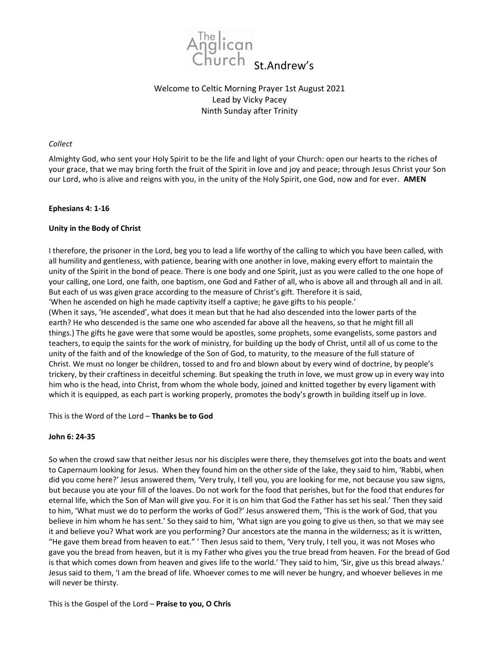

# Welcome to Celtic Morning Prayer 1st August 2021 Lead by Vicky Pacey Ninth Sunday after Trinity

### Collect

Almighty God, who sent your Holy Spirit to be the life and light of your Church: open our hearts to the riches of your grace, that we may bring forth the fruit of the Spirit in love and joy and peace; through Jesus Christ your Son our Lord, who is alive and reigns with you, in the unity of the Holy Spirit, one God, now and for ever. AMEN

# Ephesians 4: 1-16

# Unity in the Body of Christ

I therefore, the prisoner in the Lord, beg you to lead a life worthy of the calling to which you have been called, with all humility and gentleness, with patience, bearing with one another in love, making every effort to maintain the unity of the Spirit in the bond of peace. There is one body and one Spirit, just as you were called to the one hope of your calling, one Lord, one faith, one baptism, one God and Father of all, who is above all and through all and in all. But each of us was given grace according to the measure of Christ's gift. Therefore it is said, 'When he ascended on high he made captivity itself a captive; he gave gifts to his people.' (When it says, 'He ascended', what does it mean but that he had also descended into the lower parts of the earth? He who descended is the same one who ascended far above all the heavens, so that he might fill all

things.) The gifts he gave were that some would be apostles, some prophets, some evangelists, some pastors and teachers, to equip the saints for the work of ministry, for building up the body of Christ, until all of us come to the unity of the faith and of the knowledge of the Son of God, to maturity, to the measure of the full stature of Christ. We must no longer be children, tossed to and fro and blown about by every wind of doctrine, by people's trickery, by their craftiness in deceitful scheming. But speaking the truth in love, we must grow up in every way into him who is the head, into Christ, from whom the whole body, joined and knitted together by every ligament with which it is equipped, as each part is working properly, promotes the body's growth in building itself up in love.

This is the Word of the Lord – Thanks be to God

### John 6: 24-35

So when the crowd saw that neither Jesus nor his disciples were there, they themselves got into the boats and went to Capernaum looking for Jesus. When they found him on the other side of the lake, they said to him, 'Rabbi, when did you come here?' Jesus answered them, 'Very truly, I tell you, you are looking for me, not because you saw signs, but because you ate your fill of the loaves. Do not work for the food that perishes, but for the food that endures for eternal life, which the Son of Man will give you. For it is on him that God the Father has set his seal.' Then they said to him, 'What must we do to perform the works of God?' Jesus answered them, 'This is the work of God, that you believe in him whom he has sent.' So they said to him, 'What sign are you going to give us then, so that we may see it and believe you? What work are you performing? Our ancestors ate the manna in the wilderness; as it is written, "He gave them bread from heaven to eat." ' Then Jesus said to them, 'Very truly, I tell you, it was not Moses who gave you the bread from heaven, but it is my Father who gives you the true bread from heaven. For the bread of God is that which comes down from heaven and gives life to the world.' They said to him, 'Sir, give us this bread always.' Jesus said to them, 'I am the bread of life. Whoever comes to me will never be hungry, and whoever believes in me will never be thirsty.

This is the Gospel of the Lord - Praise to you, O Chris